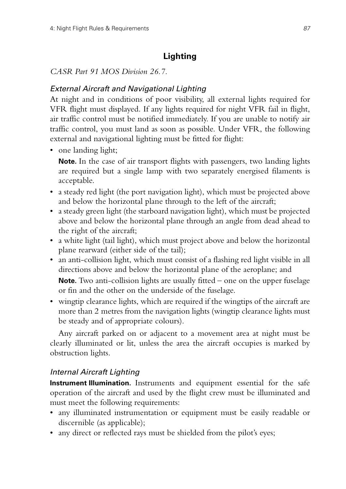# **Lighting**

*CASR Part 91 MOS Division 26.7.*

# *External Aircraft and Navigational Lighting*

At night and in conditions of poor visibility, all external lights required for VFR flight must displayed. If any lights required for night VFR fail in flight, air traffic control must be notified immediately. If you are unable to notify air traffic control, you must land as soon as possible. Under VFR, the following external and navigational lighting must be fitted for flight:

• one landing light;

**Note.** In the case of air transport flights with passengers, two landing lights are required but a single lamp with two separately energised filaments is acceptable.

- a steady red light (the port navigation light), which must be projected above and below the horizontal plane through to the left of the aircraft;
- a steady green light (the starboard navigation light), which must be projected above and below the horizontal plane through an angle from dead ahead to the right of the aircraft;
- a white light (tail light), which must project above and below the horizontal plane rearward (either side of the tail);
- an anti-collision light, which must consist of a flashing red light visible in all directions above and below the horizontal plane of the aeroplane; and

**Note.** Two anti-collision lights are usually fitted – one on the upper fuselage or fin and the other on the underside of the fuselage.

• wingtip clearance lights, which are required if the wingtips of the aircraft are more than 2 metres from the navigation lights (wingtip clearance lights must be steady and of appropriate colours).

Any aircraft parked on or adjacent to a movement area at night must be clearly illuminated or lit, unless the area the aircraft occupies is marked by obstruction lights.

# *Internal Aircraft Lighting*

**Instrument Illumination.** Instruments and equipment essential for the safe operation of the aircraft and used by the flight crew must be illuminated and must meet the following requirements:

- any illuminated instrumentation or equipment must be easily readable or discernible (as applicable);
- any direct or reflected rays must be shielded from the pilot's eyes;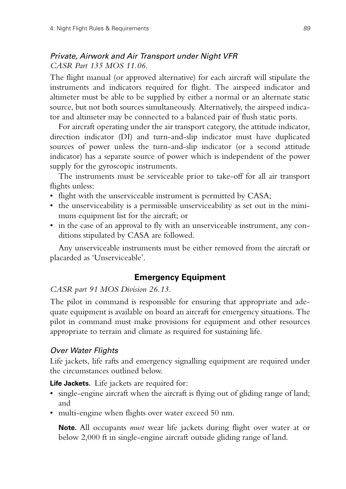# *Private, Airwork and Air Transport under Night VFR CASR Part 135 MOS 11.06.*

The flight manual (or approved alternative) for each aircraft will stipulate the instruments and indicators required for flight. The airspeed indicator and altimeter must be able to be supplied by either a normal or an alternate static source, but not both sources simultaneously. Alternatively, the airspeed indicator and altimeter may be connected to a balanced pair of flush static ports.

For aircraft operating under the air transport category, the attitude indicator, direction indicator (DI) and turn-and-slip indicator must have duplicated sources of power unless the turn-and-slip indicator (or a second attitude indicator) has a separate source of power which is independent of the power supply for the gyroscopic instruments.

The instruments must be serviceable prior to take-off for all air transport flights unless:

- flight with the unserviceable instrument is permitted by CASA;
- the unserviceability is a permissible unserviceability as set out in the minimum equipment list for the aircraft; or
- in the case of an approval to fly with an unserviceable instrument, any conditions stipulated by CASA are followed.

Any unserviceable instruments must be either removed from the aircraft or placarded as 'Unserviceable'.

### **Emergency Equipment**

#### *CASR part 91 MOS Division 26.13.*

The pilot in command is responsible for ensuring that appropriate and adequate equipment is available on board an aircraft for emergency situations. The pilot in command must make provisions for equipment and other resources appropriate to terrain and climate as required for sustaining life.

#### *Over Water Flights*

Life jackets, life rafts and emergency signalling equipment are required under the circumstances outlined below.

**Life Jackets.** Life jackets are required for:

- single-engine aircraft when the aircraft is flying out of gliding range of land; and
- multi-engine when flights over water exceed 50 nm.

**Note.** All occupants *must* wear life jackets during flight over water at or below 2,000 ft in single-engine aircraft outside gliding range of land.